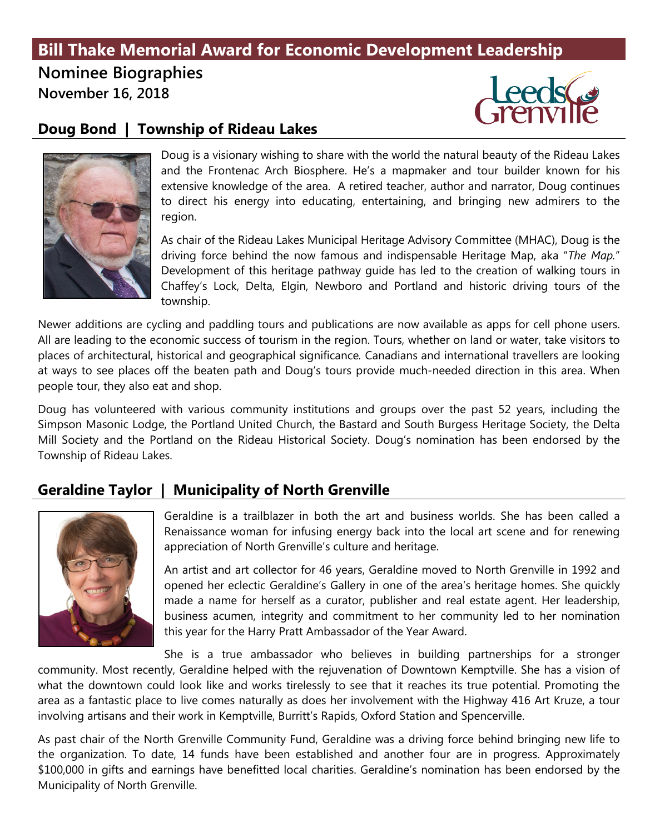## **Bill Thake Memorial Award for Economic Development Leadership**

**Nominee Biographies** 

**November 16, 2018**



#### **Doug Bond | Township of Rideau Lakes**



Doug is a visionary wishing to share with the world the natural beauty of the Rideau Lakes and the Frontenac Arch Biosphere. He's a mapmaker and tour builder known for his extensive knowledge of the area. A retired teacher, author and narrator, Doug continues to direct his energy into educating, entertaining, and bringing new admirers to the region.

As chair of the Rideau Lakes Municipal Heritage Advisory Committee (MHAC), Doug is the driving force behind the now famous and indispensable Heritage Map, aka "*The Map.*" Development of this heritage pathway guide has led to the creation of walking tours in Chaffey's Lock, Delta, Elgin, Newboro and Portland and historic driving tours of the township.

Newer additions are cycling and paddling tours and publications are now available as apps for cell phone users. All are leading to the economic success of tourism in the region. Tours, whether on land or water, take visitors to places of architectural, historical and geographical significance*.* Canadians and international travellers are looking at ways to see places off the beaten path and Doug's tours provide much-needed direction in this area. When people tour, they also eat and shop.

Doug has volunteered with various community institutions and groups over the past 52 years, including the Simpson Masonic Lodge, the Portland United Church, the Bastard and South Burgess Heritage Society, the Delta Mill Society and the Portland on the Rideau Historical Society. Doug's nomination has been endorsed by the Township of Rideau Lakes.

#### **Geraldine Taylor | Municipality of North Grenville**



Geraldine is a trailblazer in both the art and business worlds. She has been called a Renaissance woman for infusing energy back into the local art scene and for renewing appreciation of North Grenville's culture and heritage.

An artist and art collector for 46 years, Geraldine moved to North Grenville in 1992 and opened her eclectic Geraldine's Gallery in one of the area's heritage homes. She quickly made a name for herself as a curator, publisher and real estate agent. Her leadership, business acumen, integrity and commitment to her community led to her nomination this year for the Harry Pratt Ambassador of the Year Award.

She is a true ambassador who believes in building partnerships for a stronger community. Most recently, Geraldine helped with the rejuvenation of Downtown Kemptville. She has a vision of what the downtown could look like and works tirelessly to see that it reaches its true potential. Promoting the area as a fantastic place to live comes naturally as does her involvement with the Highway 416 Art Kruze, a tour involving artisans and their work in Kemptville, Burritt's Rapids, Oxford Station and Spencerville.

As past chair of the North Grenville Community Fund, Geraldine was a driving force behind bringing new life to the organization. To date, 14 funds have been established and another four are in progress. Approximately \$100,000 in gifts and earnings have benefitted local charities. Geraldine's nomination has been endorsed by the Municipality of North Grenville.